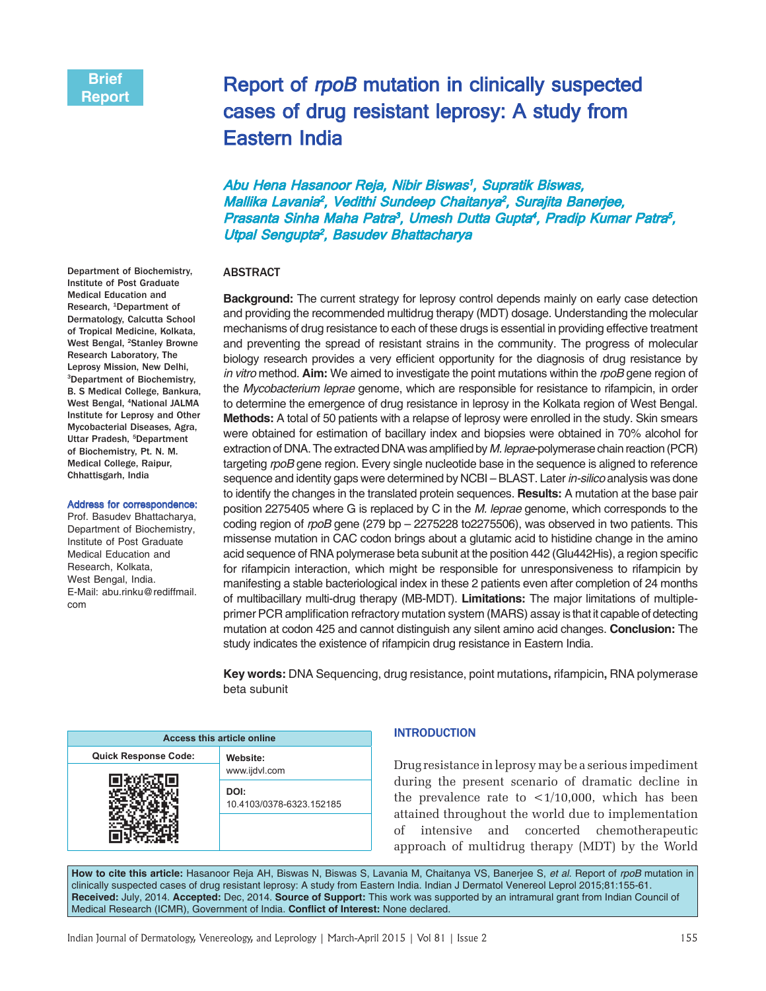# Report of rpoB mutation in clinically suspected cases of drug resistant leprosy: A study from **Eastern India**

Abu Hena Hasanoor Reja, Nibir Biswas<sup>1</sup>, Supratik Biswas, Mallika Lavania<sup>2</sup>, Vedithi Sundeep Chaitanya<sup>2</sup>, Surajita Banerjee, Prasanta Sinha Maha Patra<sup>3</sup>, Umesh Dutta Gupta<sup>4</sup>, Pradip Kumar Patra<sup>5</sup>, Utpal Sengupta<sup>2</sup>, Basudev Bhattacharya

## **ABSTRACT**

**Background:** The current strategy for leprosy control depends mainly on early case detection and providing the recommended multidrug therapy (MDT) dosage. Understanding the molecular mechanisms of drug resistance to each of these drugs is essential in providing effective treatment and preventing the spread of resistant strains in the community. The progress of molecular biology research provides a very efficient opportunity for the diagnosis of drug resistance by *in vitro* method. **Aim:** We aimed to investigate the point mutations within the *rpoB* gene region of the *Mycobacterium leprae* genome, which are responsible for resistance to rifampicin, in order to determine the emergence of drug resistance in leprosy in the Kolkata region of West Bengal. **Methods:** A total of 50 patients with a relapse of leprosy were enrolled in the study. Skin smears were obtained for estimation of bacillary index and biopsies were obtained in 70% alcohol for extraction of DNA. The extracted DNA was amplified by *M. leprae*-polymerase chain reaction (PCR) targeting *rpoB* gene region. Every single nucleotide base in the sequence is aligned to reference sequence and identity gaps were determined by NCBI – BLAST. Later *in-silico* analysis was done to identify the changes in the translated protein sequences. **Results:** A mutation at the base pair position 2275405 where G is replaced by C in the *M. leprae* genome, which corresponds to the coding region of *rpoB* gene (279 bp – 2275228 to2275506), was observed in two patients. This missense mutation in CAC codon brings about a glutamic acid to histidine change in the amino acid sequence of RNA polymerase beta subunit at the position 442 (Glu442His), a region specific for rifampicin interaction, which might be responsible for unresponsiveness to rifampicin by manifesting a stable bacteriological index in these 2 patients even after completion of 24 months of multibacillary multi-drug therapy (MB-MDT). **Limitations:** The major limitations of multipleprimer PCR amplification refractory mutation system (MARS) assay is that it capable of detecting mutation at codon 425 and cannot distinguish any silent amino acid changes. **Conclusion:** The study indicates the existence of rifampicin drug resistance in Eastern India.

**Key words:** DNA Sequencing, drug resistance, point mutations**,** rifampicin**,** RNA polymerase beta subunit

| <b>Access this article online</b> |                                  |  |  |  |
|-----------------------------------|----------------------------------|--|--|--|
| <b>Quick Response Code:</b>       | Website:                         |  |  |  |
|                                   | www.ijdvl.com                    |  |  |  |
|                                   | DOI:<br>10.4103/0378-6323.152185 |  |  |  |
|                                   |                                  |  |  |  |

### **INTRODUCTION**

Drug resistance in leprosy may be a serious impediment during the present scenario of dramatic decline in the prevalence rate to  $\langle 1/10,000, \text{ which has been} \rangle$ attained throughout the world due to implementation of intensive and concerted chemotherapeutic approach of multidrug therapy (MDT) by the World

**How to cite this article:** Hasanoor Reja AH, Biswas N, Biswas S, Lavania M, Chaitanya VS, Banerjee S, *et al*. Report of *rpoB* mutation in clinically suspected cases of drug resistant leprosy: A study from Eastern India. Indian J Dermatol Venereol Leprol 2015;81:155-61. **Received:** July, 2014. **Accepted:** Dec, 2014. **Source of Support:** This work was supported by an intramural grant from Indian Council of Medical Research (ICMR), Government of India. **Conflict of Interest:** None declared.

Department of Biochemistry, Institute of Post Graduate Medical Education and Research, <sup>1</sup>Department of Dermatology, Calcutta School of Tropical Medicine, Kolkata, West Bengal, <sup>2</sup>Stanley Browne Research Laboratory, The Leprosy Mission, New Delhi, 3Department of Biochemistry, B. S Medical College, Bankura, West Bengal, <sup>4</sup>National JALMA Institute for Leprosy and Other Mycobacterial Diseases, Agra, Uttar Pradesh, <sup>5</sup>Department of Biochemistry, Pt. N. M. Medical College, Raipur, Chhattisgarh, India

#### Address for correspondence:

Prof. Basudev Bhattacharya, Department of Biochemistry, Institute of Post Graduate Medical Education and Research, Kolkata, West Bengal, India. E-Mail: abu.rinku@rediffmail. com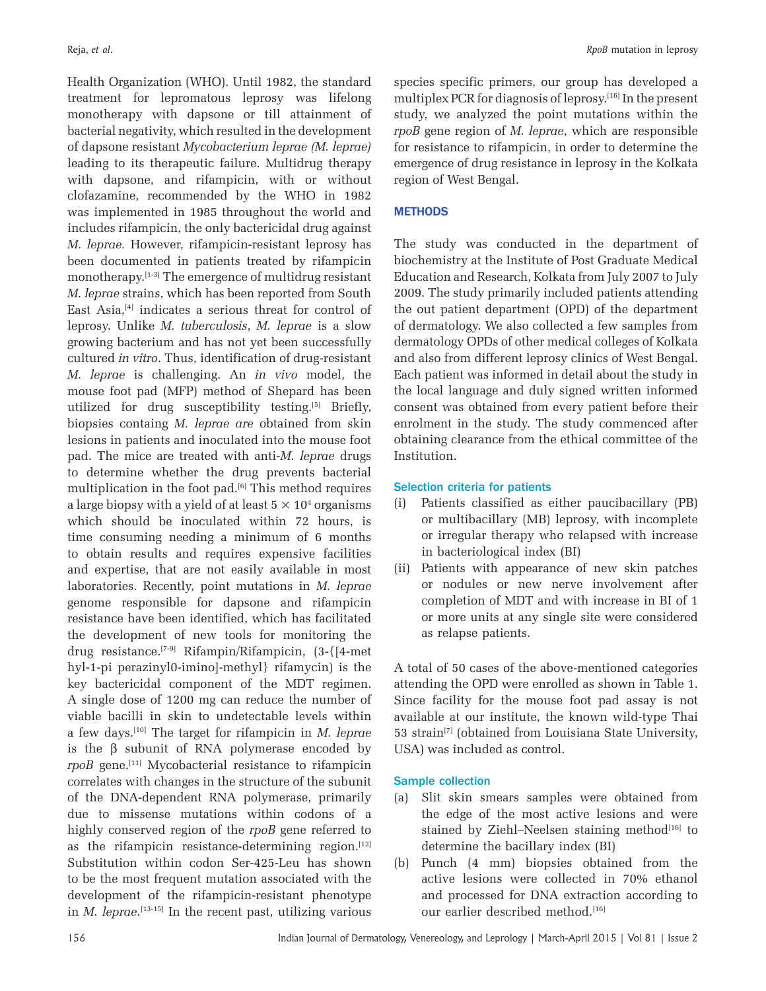Health Organization (WHO). Until 1982, the standard treatment for lepromatous leprosy was lifelong monotherapy with dapsone or till attainment of bacterial negativity, which resulted in the development of dapsone resistant *Mycobacterium leprae (M. leprae)*  leading to its therapeutic failure. Multidrug therapy with dapsone, and rifampicin, with or without clofazamine, recommended by the WHO in 1982 was implemented in 1985 throughout the world and includes rifampicin, the only bactericidal drug against *M. leprae.* However, rifampicin-resistant leprosy has been documented in patients treated by rifampicin monotherapy.[1-3] The emergence of multidrug resistant *M. leprae* strains, which has been reported from South East Asia,<sup>[4]</sup> indicates a serious threat for control of leprosy. Unlike *M. tuberculosis*, *M. leprae* is a slow growing bacterium and has not yet been successfully cultured *in vitro*. Thus, identification of drug-resistant *M. leprae* is challenging. An *in vivo* model, the mouse foot pad (MFP) method of Shepard has been utilized for drug susceptibility testing.[5] Briefly, biopsies containg *M. leprae are* obtained from skin lesions in patients and inoculated into the mouse foot pad. The mice are treated with anti-*M. leprae* drugs to determine whether the drug prevents bacterial multiplication in the foot pad.<sup>[6]</sup> This method requires a large biopsy with a yield of at least  $5 \times 10^4$  organisms which should be inoculated within 72 hours, is time consuming needing a minimum of 6 months to obtain results and requires expensive facilities and expertise, that are not easily available in most laboratories. Recently, point mutations in *M. leprae*  genome responsible for dapsone and rifampicin resistance have been identified, which has facilitated the development of new tools for monitoring the drug resistance.[7-9] Rifampin/Rifampicin, (3-{[4-met hyl-1-pi perazinyl0-imino]-methyl} rifamycin) is the key bactericidal component of the MDT regimen. A single dose of 1200 mg can reduce the number of viable bacilli in skin to undetectable levels within a few days.[10] The target for rifampicin in *M. leprae* is the β subunit of RNA polymerase encoded by *rpoB* gene.[11] Mycobacterial resistance to rifampicin correlates with changes in the structure of the subunit of the DNA-dependent RNA polymerase, primarily due to missense mutations within codons of a highly conserved region of the *rpoB* gene referred to as the rifampicin resistance-determining region. $[12]$ Substitution within codon Ser-425-Leu has shown to be the most frequent mutation associated with the development of the rifampicin-resistant phenotype in *M. leprae*. [13-15] In the recent past, utilizing various

species specific primers, our group has developed a multiplex PCR for diagnosis of leprosy.[16] In the present study, we analyzed the point mutations within the *rpoB* gene region of *M. leprae*, which are responsible for resistance to rifampicin, in order to determine the emergence of drug resistance in leprosy in the Kolkata region of West Bengal.

## **METHODS**

The study was conducted in the department of biochemistry at the Institute of Post Graduate Medical Education and Research, Kolkata from July 2007 to July 2009. The study primarily included patients attending the out patient department (OPD) of the department of dermatology. We also collected a few samples from dermatology OPDs of other medical colleges of Kolkata and also from different leprosy clinics of West Bengal. Each patient was informed in detail about the study in the local language and duly signed written informed consent was obtained from every patient before their enrolment in the study. The study commenced after obtaining clearance from the ethical committee of the Institution.

## Selection criteria for patients

- (i) Patients classified as either paucibacillary (PB) or multibacillary (MB) leprosy, with incomplete or irregular therapy who relapsed with increase in bacteriological index (BI)
- (ii) Patients with appearance of new skin patches or nodules or new nerve involvement after completion of MDT and with increase in BI of 1 or more units at any single site were considered as relapse patients.

A total of 50 cases of the above-mentioned categories attending the OPD were enrolled as shown in Table 1. Since facility for the mouse foot pad assay is not available at our institute, the known wild-type Thai 53 strain<sup>[7]</sup> (obtained from Louisiana State University, USA) was included as control.

## Sample collection

- (a) Slit skin smears samples were obtained from the edge of the most active lesions and were stained by Ziehl–Neelsen staining method<sup>[16]</sup> to determine the bacillary index (BI)
- (b) Punch (4 mm) biopsies obtained from the active lesions were collected in 70% ethanol and processed for DNA extraction according to our earlier described method.<sup>[16]</sup>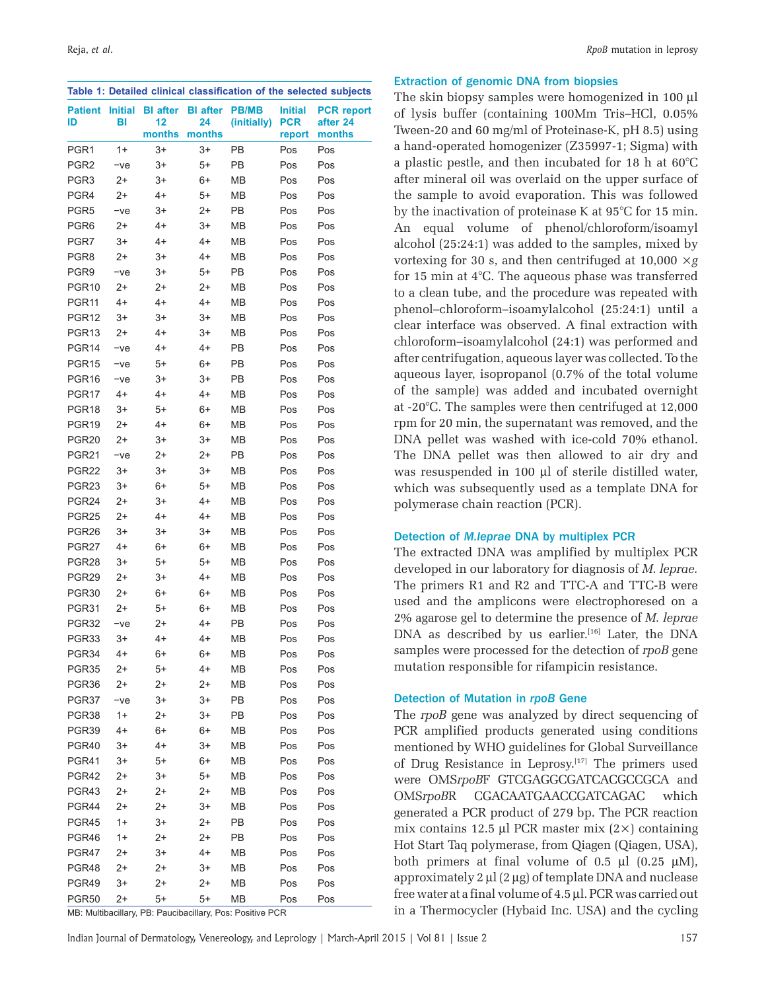| Table 1: Detailed clinical classification of the selected subjects |                      |                                 |                                 |                             |                                        |                                         |  |
|--------------------------------------------------------------------|----------------------|---------------------------------|---------------------------------|-----------------------------|----------------------------------------|-----------------------------------------|--|
| <b>Patient</b><br>ID                                               | <b>Initial</b><br>BI | <b>BI</b> after<br>12<br>months | <b>BI</b> after<br>24<br>months | <b>PB/MB</b><br>(initially) | <b>Initial</b><br><b>PCR</b><br>report | <b>PCR</b> report<br>after 24<br>months |  |
| PGR1                                                               | $1+$                 | 3+                              | 3+                              | PВ                          | Pos                                    | Pos                                     |  |
| PGR2                                                               | $-ve$                | 3+                              | $5+$                            | PB                          | Pos                                    | Pos                                     |  |
| PGR <sub>3</sub>                                                   | 2+                   | 3+                              | 6+                              | MВ                          | Pos                                    | Pos                                     |  |
| PGR4                                                               | $2+$                 | 4+                              | 5+                              | MВ                          | Pos                                    | Pos                                     |  |
| PGR <sub>5</sub>                                                   | $-ve$                | 3+                              | $^{2+}$                         | PB                          | Pos                                    | Pos                                     |  |
| PGR <sub>6</sub>                                                   | 2+                   | 4+                              | 3+                              | MB                          | Pos                                    | Pos                                     |  |
| PGR7                                                               | 3+                   | 4+                              | 4+                              | MB                          | Pos                                    | Pos                                     |  |
| PGR <sub>8</sub>                                                   | 2+                   | 3+                              | 4+                              | MB                          | Pos                                    | Pos                                     |  |
| PGR9                                                               | $-ve$                | 3+                              | 5+                              | PB                          | Pos                                    | Pos                                     |  |
| PGR10                                                              | 2+                   | 2+                              | $^{2+}$                         | MВ                          | Pos                                    | Pos                                     |  |
| PGR11                                                              | 4+                   | 4+                              | 4+                              | MB                          | Pos                                    | Pos                                     |  |
| PGR12                                                              | 3+                   | $3+$                            | 3+                              | MB                          | Pos                                    | Pos                                     |  |
| PGR13                                                              | 2+                   | 4+                              | 3+                              | MВ                          | Pos                                    | Pos                                     |  |
| PGR14                                                              | $-ve$                | 4+                              | 4+                              | РB                          | Pos                                    | Pos                                     |  |
| PGR15                                                              | $-ve$                | 5+                              | 6+                              | PВ                          | Pos                                    | Pos                                     |  |
| PGR16                                                              | $-ve$                | 3+                              | 3+                              | PВ                          | Pos                                    | Pos                                     |  |
| PGR17                                                              | 4+                   | 4+                              | 4+                              | MВ                          | Pos                                    | Pos                                     |  |
| PGR18                                                              | 3+                   | 5+                              | 6+                              | MВ                          | Pos                                    | Pos                                     |  |
| PGR19                                                              | 2+                   | 4+                              | 6+                              | MВ                          | Pos                                    | Pos                                     |  |
| PGR20                                                              | 2+                   | 3+                              | 3+                              | MВ                          | Pos                                    | Pos                                     |  |
| PGR21                                                              | $-ve$                | 2+                              | 2+                              | PВ                          | Pos                                    | Pos                                     |  |
| PGR22                                                              | 3+                   | 3+                              | 3+                              | MВ                          | Pos                                    | Pos                                     |  |
| PGR <sub>23</sub>                                                  | 3+                   | 6+                              | 5+                              | MВ                          | Pos                                    | Pos                                     |  |
| PGR <sub>24</sub>                                                  | $2+$                 | 3+                              | 4+                              | MВ                          | Pos                                    | Pos                                     |  |
| <b>PGR25</b>                                                       | 2+                   | 4+                              | 4+                              | MB                          | Pos                                    | Pos                                     |  |
| PGR <sub>26</sub>                                                  | 3+                   | 3+                              | $3+$                            | MB                          | Pos                                    | Pos                                     |  |
| PGR27                                                              | 4+                   | 6+                              | 6+                              | MB                          | Pos                                    | Pos                                     |  |
| PGR28                                                              | 3+                   | 5+                              | 5+                              | MB                          | Pos                                    | Pos                                     |  |
| PGR29                                                              | 2+                   | 3+                              | 4+                              | MB                          | Pos                                    | Pos                                     |  |
| PGR <sub>30</sub>                                                  | 2+                   | 6+                              | 6+                              | MB                          | Pos                                    | Pos                                     |  |
| PGR31                                                              | 2+                   | 5+                              | 6+                              | ΜВ                          | Pos                                    | Pos                                     |  |
| PGR32                                                              | $-ve$                | 2+                              | 4+                              | PB                          | Pos                                    | Pos                                     |  |
| PGR33                                                              | $3+$                 | 4+                              | 4+                              | MВ                          | Pos                                    | Pos                                     |  |
| PGR34                                                              | 4+                   | 6+                              | 6+                              | MB                          | Pos                                    | Pos                                     |  |
| PGR35                                                              | 2+                   | 5+                              | 4+                              | MB                          | Pos                                    | Pos                                     |  |
| PGR36                                                              | 2+                   | 2+                              | 2+                              | MB                          | Pos                                    | Pos                                     |  |
| PGR37                                                              | $-ve$                | $3+$                            | $3+$                            | PB                          | Pos                                    | Pos                                     |  |
| PGR38                                                              | $1+$                 | $2+$                            | 3+                              | PВ                          | Pos                                    | Pos                                     |  |
| PGR39                                                              | 4+                   | $6+$                            | 6+                              | MВ                          | Pos                                    | Pos                                     |  |
| PGR40                                                              | 3+                   | $4+$                            | $3+$                            | MB                          | Pos                                    | Pos                                     |  |
| PGR41                                                              | 3+                   | 5+                              | 6+                              | MB                          | Pos                                    | Pos                                     |  |
| PGR42                                                              | 2+                   | 3+                              | 5+                              | MВ                          | Pos                                    | Pos                                     |  |
| PGR43                                                              | 2+                   | 2+                              | 2+                              | MВ                          | Pos                                    | Pos                                     |  |
| PGR44                                                              | 2+                   | 2+                              | 3+                              | MВ                          | Pos                                    | Pos                                     |  |
| PGR45                                                              | $1+$                 | $3+$                            | 2+                              | РB                          | Pos                                    | Pos                                     |  |
| PGR46                                                              | $1+$                 | 2+                              | 2+                              | PB                          | Pos                                    | Pos                                     |  |
| PGR47                                                              | 2+                   | $3+$                            | 4+                              | MВ                          | Pos                                    | Pos                                     |  |
| PGR48                                                              | 2+                   | 2+                              | 3+                              | MВ                          | Pos                                    | Pos                                     |  |
| PGR49                                                              | 3+                   | 2+                              | 2+                              | MВ                          | Pos                                    | Pos                                     |  |
| <b>PGR50</b>                                                       | 2+                   | 5+                              | 5+                              | MB                          | Pos                                    | Pos                                     |  |

#### Extraction of genomic DNA from biopsies

The skin biopsy samples were homogenized in 100 μl of lysis buffer (containing 100Mm Tris–HCl, 0.05% Tween-20 and 60 mg/ml of Proteinase-K, pH 8.5) using a hand-operated homogenizer (Z35997-1; Sigma) with a plastic pestle, and then incubated for 18 h at 60°C after mineral oil was overlaid on the upper surface of the sample to avoid evaporation. This was followed by the inactivation of proteinase K at 95°C for 15 min. An equal volume of phenol/chloroform/isoamyl alcohol (25:24:1) was added to the samples, mixed by vortexing for 30 s, and then centrifuged at 10,000 ×*g* for 15 min at 4°C. The aqueous phase was transferred to a clean tube, and the procedure was repeated with phenol–chloroform–isoamylalcohol (25:24:1) until a clear interface was observed. A final extraction with chloroform–isoamylalcohol (24:1) was performed and after centrifugation, aqueous layer was collected. To the aqueous layer, isopropanol (0.7% of the total volume of the sample) was added and incubated overnight at -20°C. The samples were then centrifuged at 12,000 rpm for 20 min, the supernatant was removed, and the DNA pellet was washed with ice-cold 70% ethanol. The DNA pellet was then allowed to air dry and was resuspended in 100 μl of sterile distilled water, which was subsequently used as a template DNA for polymerase chain reaction (PCR).

### Detection of *M.leprae* DNA by multiplex PCR

The extracted DNA was amplified by multiplex PCR developed in our laboratory for diagnosis of *M. leprae.*  The primers R1 and R2 and TTC-A and TTC-B were used and the amplicons were electrophoresed on a 2% agarose gel to determine the presence of *M. leprae* DNA as described by us earlier.<sup>[16]</sup> Later, the DNA samples were processed for the detection of *rpoB* gene mutation responsible for rifampicin resistance.

#### Detection of Mutation in *rpoB* Gene

The *rpoB* gene was analyzed by direct sequencing of PCR amplified products generated using conditions mentioned by WHO guidelines for Global Surveillance of Drug Resistance in Leprosy.[17] The primers used were OMS*rpoB*F GTCGAGGCGATCACGCCGCA and OMS*rpoB*R CGACAATGAACCGATCAGAC which generated a PCR product of 279 bp. The PCR reaction mix contains 12.5 μl PCR master mix  $(2\times)$  containing Hot Start Taq polymerase, from Qiagen (Qiagen, USA), both primers at final volume of  $0.5 \mu$  (0.25  $\mu$ M), approximately 2 μl (2 μg) of template DNA and nuclease free water at a final volume of 4.5 μl. PCR was carried out in a Thermocycler (Hybaid Inc. USA) and the cycling

MB: Multibacillary, PB: Paucibacillary, Pos: Positive PCR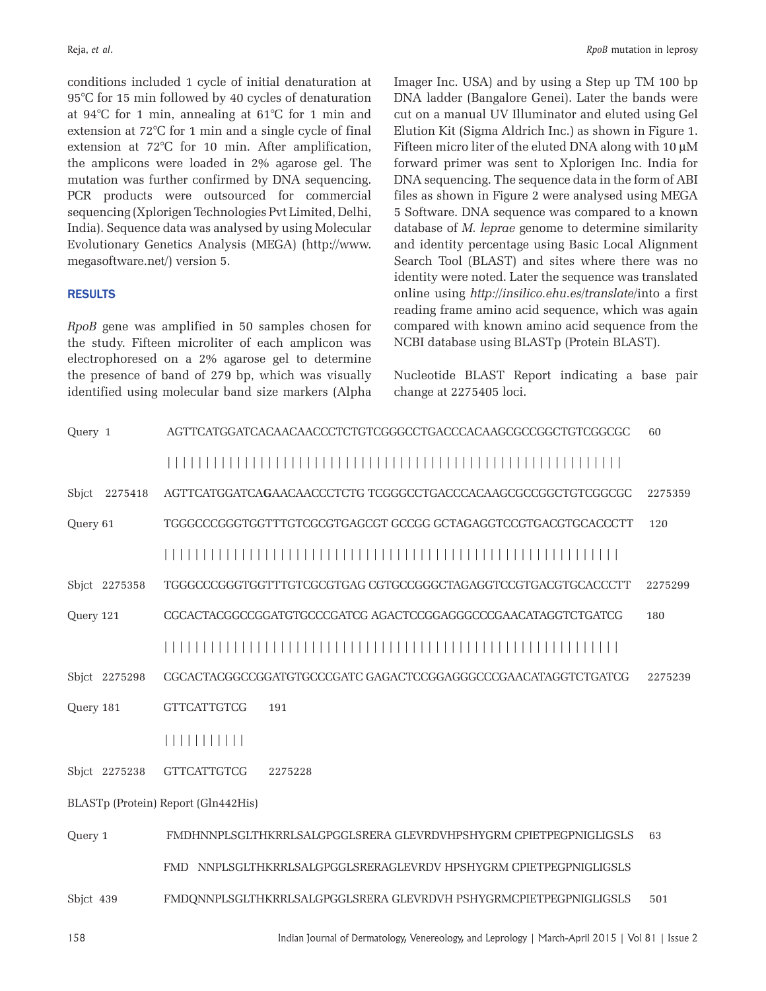conditions included 1 cycle of initial denaturation at 95°C for 15 min followed by 40 cycles of denaturation at 94°C for 1 min, annealing at 61°C for 1 min and extension at 72°C for 1 min and a single cycle of final extension at 72°C for 10 min. After amplification, the amplicons were loaded in 2% agarose gel. The mutation was further confirmed by DNA sequencing. PCR products were outsourced for commercial sequencing (Xplorigen Technologies Pvt Limited, Delhi, India). Sequence data was analysed by using Molecular Evolutionary Genetics Analysis (MEGA) (http://www. megasoftware.net/) version 5.

## RESULTS

*RpoB* gene was amplified in 50 samples chosen for the study. Fifteen microliter of each amplicon was electrophoresed on a 2% agarose gel to determine the presence of band of 279 bp, which was visually identified using molecular band size markers (Alpha Imager Inc. USA) and by using a Step up TM 100 bp DNA ladder (Bangalore Genei). Later the bands were cut on a manual UV Illuminator and eluted using Gel Elution Kit (Sigma Aldrich Inc.) as shown in Figure 1. Fifteen micro liter of the eluted DNA along with 10 μM forward primer was sent to Xplorigen Inc. India for DNA sequencing. The sequence data in the form of ABI files as shown in Figure 2 were analysed using MEGA 5 Software. DNA sequence was compared to a known database of *M. leprae* genome to determine similarity and identity percentage using Basic Local Alignment Search Tool (BLAST) and sites where there was no identity were noted. Later the sequence was translated online using *http://insilico.ehu.es/translate/*into a first reading frame amino acid sequence, which was again compared with known amino acid sequence from the NCBI database using BLASTp (Protein BLAST).

Nucleotide BLAST Report indicating a base pair change at 2275405 loci.

| Query 1                             | AGTTCATGGATCACAACAACCCTCTGTCGGGCCTGACCCACAAGCGCCGGCTGTCGGCGC      | 60      |  |  |  |  |
|-------------------------------------|-------------------------------------------------------------------|---------|--|--|--|--|
|                                     |                                                                   |         |  |  |  |  |
| Sbjct<br>2275418                    | AGTTCATGGATCAGAACAACCCTCTG TCGGGCCTGACCCACAAGCGCCGGCTGTCGGCGC     | 2275359 |  |  |  |  |
| Query 61                            | TGGGCCCGGGTGGTTTGTCGCGTGAGCGT GCCGG GCTAGAGGTCCGTGACGTGCACCCTT    | 120     |  |  |  |  |
|                                     |                                                                   |         |  |  |  |  |
| Sbjct 2275358                       | TGGGCCCGGGTGGTTTGTCGCGTGAG CGTGCCGGGCTAGAGGTCCGTGACGTGCACCCTT     | 2275299 |  |  |  |  |
| Query 121                           | CGCACTACGGCCGGATGTGCCCGATCG AGACTCCGGAGGGCCCGAACATAGGTCTGATCG     | 180     |  |  |  |  |
|                                     |                                                                   |         |  |  |  |  |
| Sbjct 2275298                       | CGCACTACGGCCGGATGTGCCCGATC GAGACTCCGGAGGGCCCGAACATAGGTCTGATCG     | 2275239 |  |  |  |  |
| Query 181                           | <b>GTTCATTGTCG</b><br>191                                         |         |  |  |  |  |
|                                     |                                                                   |         |  |  |  |  |
| Sbjct 2275238                       | <b>GTTCATTGTCG</b><br>2275228                                     |         |  |  |  |  |
| BLASTp (Protein) Report (Gln442His) |                                                                   |         |  |  |  |  |
| Query 1                             | FMDHNNPLSGLTHKRRLSALGPGGLSRERA GLEVRDVHPSHYGRM CPIETPEGPNIGLIGSLS | 63      |  |  |  |  |
|                                     | FMD NNPLSGLTHKRRLSALGPGGLSRERAGLEVRDV HPSHYGRM CPIETPEGPNIGLIGSLS |         |  |  |  |  |
| Sbjct 439                           | FMDQNNPLSGLTHKRRLSALGPGGLSRERA GLEVRDVH PSHYGRMCPIETPEGPNIGLIGSLS | 501     |  |  |  |  |
|                                     |                                                                   |         |  |  |  |  |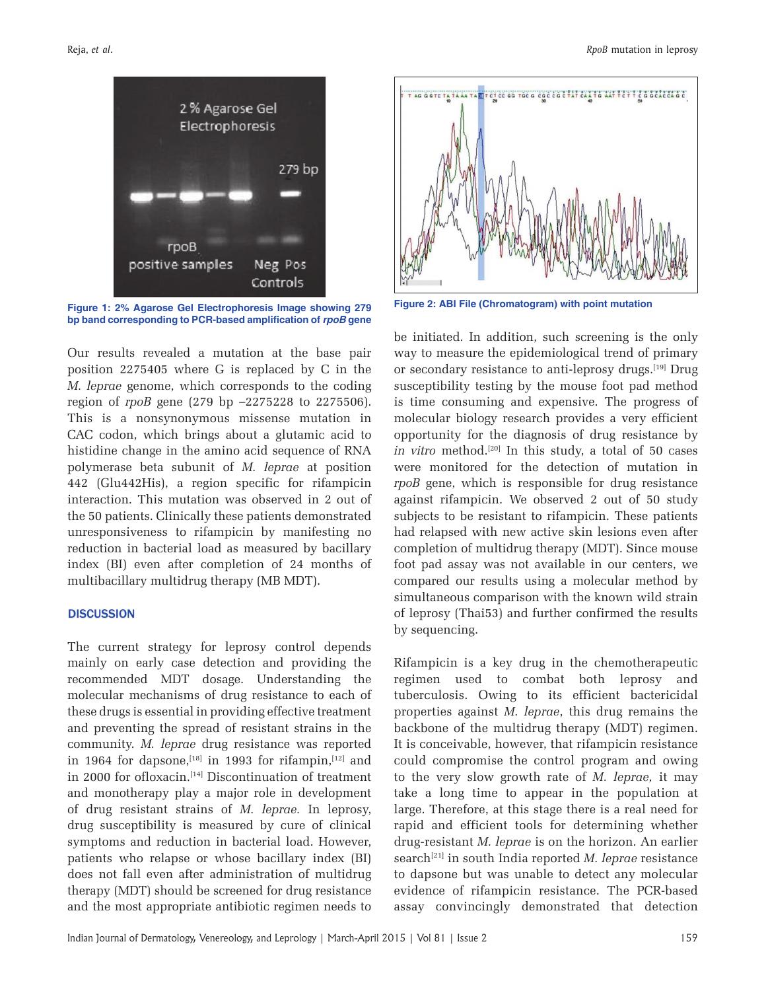

**Figure 1: 2% Agarose Gel Electrophoresis Image showing 279 bp band corresponding to PCR-based amplification of** *rpoB* **gene** 

Our results revealed a mutation at the base pair position 2275405 where G is replaced by C in the *M. leprae* genome, which corresponds to the coding region of *rpoB* gene (279 bp –2275228 to 2275506). This is a nonsynonymous missense mutation in CAC codon, which brings about a glutamic acid to histidine change in the amino acid sequence of RNA polymerase beta subunit of *M. leprae* at position 442 (Glu442His), a region specific for rifampicin interaction. This mutation was observed in 2 out of the 50 patients. Clinically these patients demonstrated unresponsiveness to rifampicin by manifesting no reduction in bacterial load as measured by bacillary index (BI) even after completion of 24 months of multibacillary multidrug therapy (MB MDT).

### **DISCUSSION**

The current strategy for leprosy control depends mainly on early case detection and providing the recommended MDT dosage. Understanding the molecular mechanisms of drug resistance to each of these drugs is essential in providing effective treatment and preventing the spread of resistant strains in the community. *M. leprae* drug resistance was reported in 1964 for dapsone,  $[18]$  in 1993 for rifampin,  $[12]$  and in 2000 for ofloxacin.<sup>[14]</sup> Discontinuation of treatment and monotherapy play a major role in development of drug resistant strains of *M. leprae.* In leprosy, drug susceptibility is measured by cure of clinical symptoms and reduction in bacterial load. However, patients who relapse or whose bacillary index (BI) does not fall even after administration of multidrug therapy (MDT) should be screened for drug resistance and the most appropriate antibiotic regimen needs to



**Figure 2: ABI File (Chromatogram) with point mutation**

be initiated. In addition, such screening is the only way to measure the epidemiological trend of primary or secondary resistance to anti-leprosy drugs.[19] Drug susceptibility testing by the mouse foot pad method is time consuming and expensive. The progress of molecular biology research provides a very efficient opportunity for the diagnosis of drug resistance by *in vitro* method.<sup>[20]</sup> In this study, a total of 50 cases were monitored for the detection of mutation in *rpoB* gene, which is responsible for drug resistance against rifampicin. We observed 2 out of 50 study subjects to be resistant to rifampicin. These patients had relapsed with new active skin lesions even after completion of multidrug therapy (MDT). Since mouse foot pad assay was not available in our centers, we compared our results using a molecular method by simultaneous comparison with the known wild strain of leprosy (Thai53) and further confirmed the results by sequencing.

Rifampicin is a key drug in the chemotherapeutic regimen used to combat both leprosy and tuberculosis. Owing to its efficient bactericidal properties against *M. leprae*, this drug remains the backbone of the multidrug therapy (MDT) regimen. It is conceivable, however, that rifampicin resistance could compromise the control program and owing to the very slow growth rate of *M. leprae,* it may take a long time to appear in the population at large. Therefore, at this stage there is a real need for rapid and efficient tools for determining whether drug-resistant *M. leprae* is on the horizon. An earlier search<sup>[21]</sup> in south India reported *M. leprae* resistance to dapsone but was unable to detect any molecular evidence of rifampicin resistance. The PCR-based assay convincingly demonstrated that detection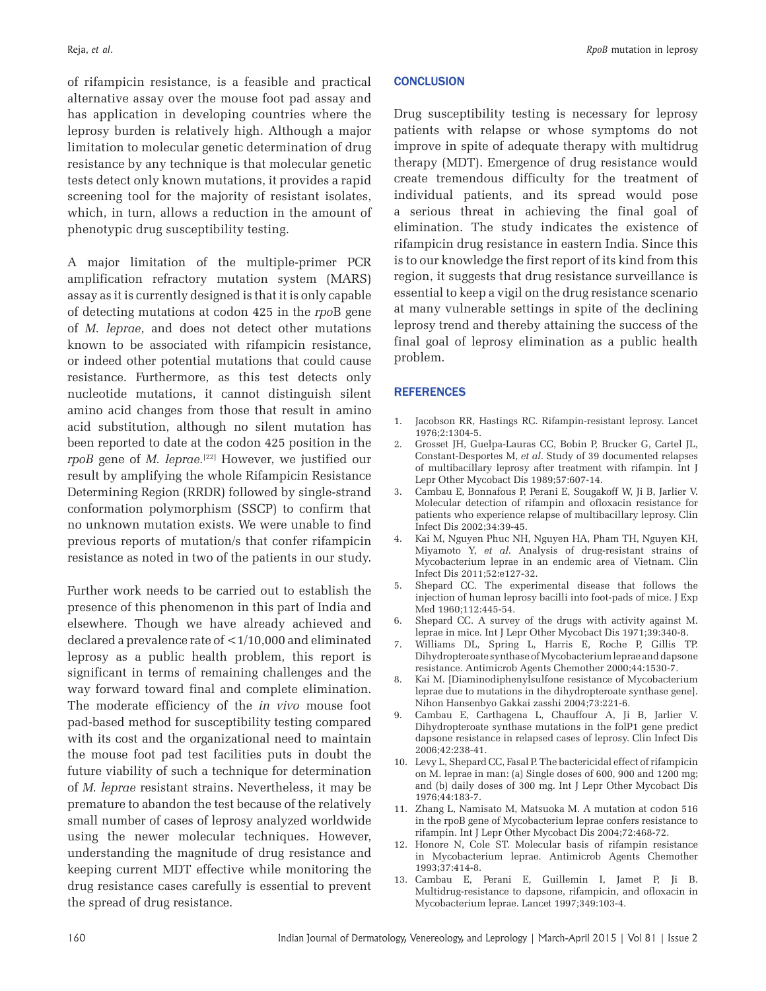of rifampicin resistance, is a feasible and practical alternative assay over the mouse foot pad assay and has application in developing countries where the leprosy burden is relatively high. Although a major limitation to molecular genetic determination of drug resistance by any technique is that molecular genetic tests detect only known mutations, it provides a rapid screening tool for the majority of resistant isolates, which, in turn, allows a reduction in the amount of phenotypic drug susceptibility testing.

A major limitation of the multiple-primer PCR amplification refractory mutation system (MARS) assay as it is currently designed is that it is only capable of detecting mutations at codon 425 in the *rpo*B gene of *M. leprae*, and does not detect other mutations known to be associated with rifampicin resistance, or indeed other potential mutations that could cause resistance. Furthermore, as this test detects only nucleotide mutations, it cannot distinguish silent amino acid changes from those that result in amino acid substitution, although no silent mutation has been reported to date at the codon 425 position in the *rpoB* gene of *M. leprae.*[22] However, we justified our result by amplifying the whole Rifampicin Resistance Determining Region (RRDR) followed by single-strand conformation polymorphism (SSCP) to confirm that no unknown mutation exists. We were unable to find previous reports of mutation/s that confer rifampicin resistance as noted in two of the patients in our study.

Further work needs to be carried out to establish the presence of this phenomenon in this part of India and elsewhere. Though we have already achieved and declared a prevalence rate of <1/10,000 and eliminated leprosy as a public health problem, this report is significant in terms of remaining challenges and the way forward toward final and complete elimination. The moderate efficiency of the *in vivo* mouse foot pad-based method for susceptibility testing compared with its cost and the organizational need to maintain the mouse foot pad test facilities puts in doubt the future viability of such a technique for determination of *M. leprae* resistant strains. Nevertheless, it may be premature to abandon the test because of the relatively small number of cases of leprosy analyzed worldwide using the newer molecular techniques. However, understanding the magnitude of drug resistance and keeping current MDT effective while monitoring the drug resistance cases carefully is essential to prevent the spread of drug resistance.

## **CONCLUSION**

Drug susceptibility testing is necessary for leprosy patients with relapse or whose symptoms do not improve in spite of adequate therapy with multidrug therapy (MDT). Emergence of drug resistance would create tremendous difficulty for the treatment of individual patients, and its spread would pose a serious threat in achieving the final goal of elimination. The study indicates the existence of rifampicin drug resistance in eastern India. Since this is to our knowledge the first report of its kind from this region, it suggests that drug resistance surveillance is essential to keep a vigil on the drug resistance scenario at many vulnerable settings in spite of the declining leprosy trend and thereby attaining the success of the final goal of leprosy elimination as a public health problem.

## **REFERENCES**

- 1. Jacobson RR, Hastings RC. Rifampin-resistant leprosy. Lancet 1976;2:1304-5.
- 2. Grosset JH, Guelpa-Lauras CC, Bobin P, Brucker G, Cartel JL, Constant-Desportes M, *et al*. Study of 39 documented relapses of multibacillary leprosy after treatment with rifampin. Int J Lepr Other Mycobact Dis 1989;57:607-14.
- 3. Cambau E, Bonnafous P, Perani E, Sougakoff W, Ji B, Jarlier V. Molecular detection of rifampin and ofloxacin resistance for patients who experience relapse of multibacillary leprosy. Clin Infect Dis 2002;34:39-45.
- 4. Kai M, Nguyen Phuc NH, Nguyen HA, Pham TH, Nguyen KH, Miyamoto Y, *et al*. Analysis of drug-resistant strains of Mycobacterium leprae in an endemic area of Vietnam. Clin Infect Dis 2011;52:e127-32.
- 5. Shepard CC. The experimental disease that follows the injection of human leprosy bacilli into foot-pads of mice. J Exp Med 1960;112:445-54.
- 6. Shepard CC. A survey of the drugs with activity against M. leprae in mice. Int J Lepr Other Mycobact Dis 1971;39:340-8.
- 7. Williams DL, Spring L, Harris E, Roche P, Gillis TP. Dihydropteroate synthase of Mycobacterium leprae and dapsone resistance. Antimicrob Agents Chemother 2000;44:1530-7.
- 8. Kai M. [Diaminodiphenylsulfone resistance of Mycobacterium leprae due to mutations in the dihydropteroate synthase gene]. Nihon Hansenbyo Gakkai zasshi 2004;73:221-6.
- 9. Cambau E, Carthagena L, Chauffour A, Ji B, Jarlier V. Dihydropteroate synthase mutations in the folP1 gene predict dapsone resistance in relapsed cases of leprosy. Clin Infect Dis 2006;42:238-41.
- 10. Levy L, Shepard CC, Fasal P. The bactericidal effect of rifampicin on M. leprae in man: (a) Single doses of 600, 900 and 1200 mg; and (b) daily doses of 300 mg. Int J Lepr Other Mycobact Dis 1976;44:183-7.
- 11. Zhang L, Namisato M, Matsuoka M. A mutation at codon 516 in the rpoB gene of Mycobacterium leprae confers resistance to rifampin. Int J Lepr Other Mycobact Dis 2004;72:468-72.
- 12. Honore N, Cole ST. Molecular basis of rifampin resistance in Mycobacterium leprae. Antimicrob Agents Chemother 1993;37:414-8.
- 13. Cambau E, Perani E, Guillemin I, Jamet P, Ji B. Multidrug-resistance to dapsone, rifampicin, and ofloxacin in Mycobacterium leprae. Lancet 1997;349:103-4.